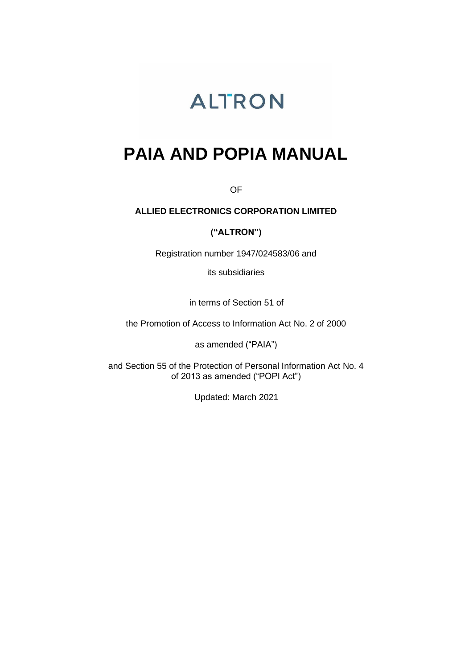# **ALTRON**

# **PAIA AND POPIA MANUAL**

OF

# **ALLIED ELECTRONICS CORPORATION LIMITED**

# **("ALTRON")**

Registration number 1947/024583/06 and

its subsidiaries

in terms of Section 51 of

the Promotion of Access to Information Act No. 2 of 2000

as amended ("PAIA")

and Section 55 of the Protection of Personal Information Act No. 4 of 2013 as amended ("POPI Act")

Updated: March 2021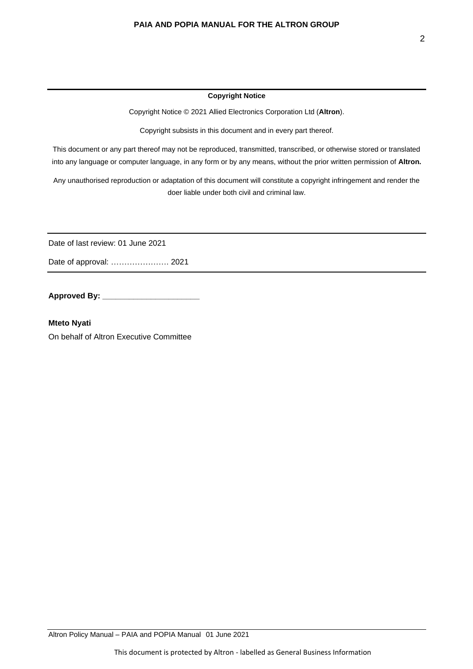#### **Copyright Notice**

Copyright Notice © 2021 Allied Electronics Corporation Ltd (**Altron**).

Copyright subsists in this document and in every part thereof.

This document or any part thereof may not be reproduced, transmitted, transcribed, or otherwise stored or translated into any language or computer language, in any form or by any means, without the prior written permission of **Altron.** 

Any unauthorised reproduction or adaptation of this document will constitute a copyright infringement and render the doer liable under both civil and criminal law.

Date of last review: 01 June 2021

Date of approval: …………………. 2021

**Approved By: \_\_\_\_\_\_\_\_\_\_\_\_\_\_\_\_\_\_\_\_\_\_**

**Mteto Nyati**  On behalf of Altron Executive Committee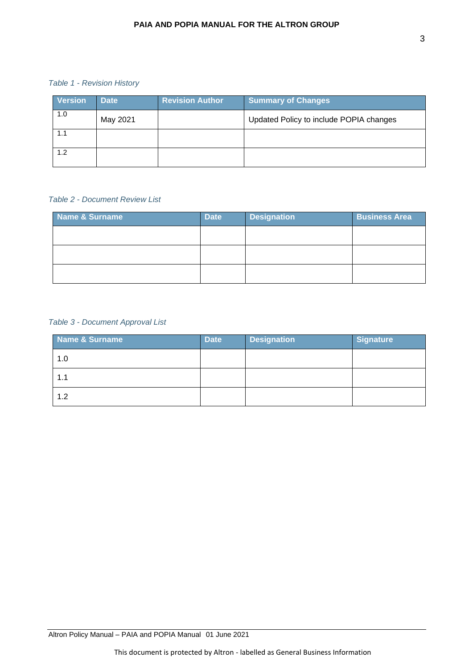#### *Table 1 - Revision History*

| <b>Version</b> | <b>Date</b> | <b>Revision Author</b> | <b>Summary of Changes</b>               |
|----------------|-------------|------------------------|-----------------------------------------|
| 1.0            | May 2021    |                        | Updated Policy to include POPIA changes |
| 1.1            |             |                        |                                         |
| 1.2            |             |                        |                                         |

# *Table 2 - Document Review List*

| Name & Surname | <b>Date</b> | <b>Designation</b> | <b>Business Area</b> |
|----------------|-------------|--------------------|----------------------|
|                |             |                    |                      |
|                |             |                    |                      |
|                |             |                    |                      |

# *Table 3 - Document Approval List*

| Name & Surname | <b>Date</b> | <b>Designation</b> | <b>Signature</b> |
|----------------|-------------|--------------------|------------------|
| 1.0            |             |                    |                  |
| 1.1            |             |                    |                  |
| 1.2            |             |                    |                  |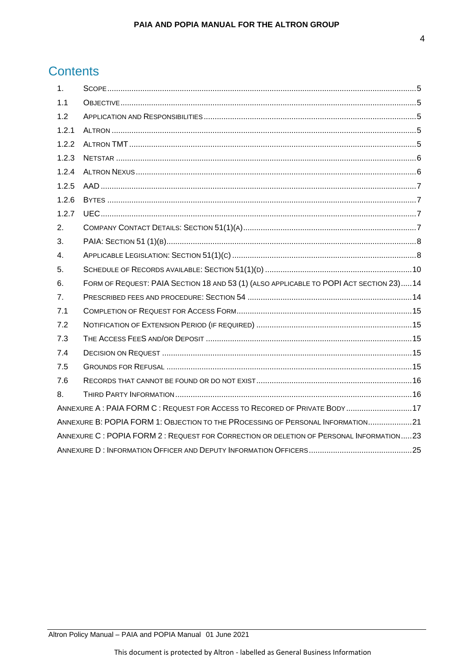# **Contents**

| 1.             |                                                                                        |
|----------------|----------------------------------------------------------------------------------------|
| 1.1            |                                                                                        |
| 1.2            |                                                                                        |
| 1.2.1          |                                                                                        |
| 1.2.2          |                                                                                        |
| 1.2.3          |                                                                                        |
| 1.2.4          |                                                                                        |
| 1.2.5          |                                                                                        |
| 1.2.6          |                                                                                        |
| 1.2.7          |                                                                                        |
| 2.             |                                                                                        |
| 3.             |                                                                                        |
| 4.             |                                                                                        |
| 5.             |                                                                                        |
| 6.             | FORM OF REQUEST: PAIA SECTION 18 AND 53 (1) (ALSO APPLICABLE TO POPI ACT SECTION 23)14 |
| 7 <sub>1</sub> |                                                                                        |
| 7.1            |                                                                                        |
| 7.2            |                                                                                        |
| 7.3            |                                                                                        |
| 7.4            |                                                                                        |
| 7.5            |                                                                                        |
| 7.6            |                                                                                        |
| 8.             |                                                                                        |
|                | ANNEXURE A: PAIA FORM C: REQUEST FOR ACCESS TO RECORED OF PRIVATE BODY17               |
|                | ANNEXURE B: POPIA FORM 1: OBJECTION TO THE PROCESSING OF PERSONAL INFORMATION21        |
|                | ANNEXURE C: POPIA FORM 2: REQUEST FOR CORRECTION OR DELETION OF PERSONAL INFORMATION23 |
|                |                                                                                        |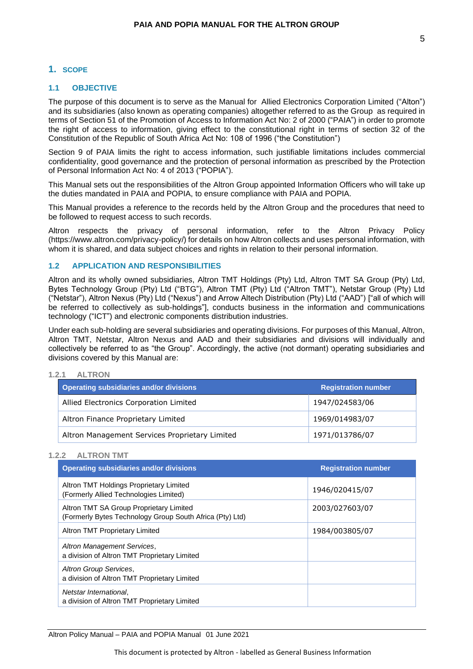### <span id="page-4-0"></span>**1. SCOPE**

#### <span id="page-4-1"></span>**1.1 OBJECTIVE**

The purpose of this document is to serve as the Manual for Allied Electronics Corporation Limited ("Alton") and its subsidiaries (also known as operating companies) altogether referred to as the Group as required in terms of Section 51 of the Promotion of Access to Information Act No: 2 of 2000 ("PAIA") in order to promote the right of access to information, giving effect to the constitutional right in terms of section 32 of the Constitution of the Republic of South Africa Act No: 108 of 1996 ("the Constitution")

Section 9 of PAIA limits the right to access information, such justifiable limitations includes commercial confidentiality, good governance and the protection of personal information as prescribed by the Protection of Personal Information Act No: 4 of 2013 ("POPIA").

This Manual sets out the responsibilities of the Altron Group appointed Information Officers who will take up the duties mandated in PAIA and POPIA, to ensure compliance with PAIA and POPIA.

This Manual provides a reference to the records held by the Altron Group and the procedures that need to be followed to request access to such records.

Altron respects the privacy of personal information, refer to the Altron Privacy Policy (https://www.altron.com/privacy-policy/) for details on how Altron collects and uses personal information, with whom it is shared, and data subject choices and rights in relation to their personal information.

#### <span id="page-4-2"></span>**1.2 APPLICATION AND RESPONSIBILITIES**

Altron and its wholly owned subsidiaries, Altron TMT Holdings (Pty) Ltd, Altron TMT SA Group (Pty) Ltd, Bytes Technology Group (Pty) Ltd ("BTG"), Altron TMT (Pty) Ltd ("Altron TMT"), Netstar Group (Pty) Ltd ("Netstar"), Altron Nexus (Pty) Ltd ("Nexus") and Arrow Altech Distribution (Pty) Ltd ("AAD") ["all of which will be referred to collectively as sub-holdings"], conducts business in the information and communications technology ("ICT") and electronic components distribution industries.

Under each sub-holding are several subsidiaries and operating divisions. For purposes of this Manual, Altron, Altron TMT, Netstar, Altron Nexus and AAD and their subsidiaries and divisions will individually and collectively be referred to as "the Group". Accordingly, the active (not dormant) operating subsidiaries and divisions covered by this Manual are:

#### <span id="page-4-3"></span>**1.2.1 ALTRON**

| Operating subsidiaries and/or divisions        | <b>Registration number</b> |
|------------------------------------------------|----------------------------|
| Allied Electronics Corporation Limited         | 1947/024583/06             |
| Altron Finance Proprietary Limited             | 1969/014983/07             |
| Altron Management Services Proprietary Limited | 1971/013786/07             |

#### <span id="page-4-4"></span>**1.2.2 ALTRON TMT**

| <b>Operating subsidiaries and/or divisions</b>                                                      | <b>Registration number</b> |
|-----------------------------------------------------------------------------------------------------|----------------------------|
| Altron TMT Holdings Proprietary Limited<br>(Formerly Allied Technologies Limited)                   | 1946/020415/07             |
| Altron TMT SA Group Proprietary Limited<br>(Formerly Bytes Technology Group South Africa (Pty) Ltd) | 2003/027603/07             |
| Altron TMT Proprietary Limited                                                                      | 1984/003805/07             |
| Altron Management Services,<br>a division of Altron TMT Proprietary Limited                         |                            |
| Altron Group Services,<br>a division of Altron TMT Proprietary Limited                              |                            |
| Netstar International,<br>a division of Altron TMT Proprietary Limited                              |                            |

Altron Policy Manual – PAIA and POPIA Manual 01 June 2021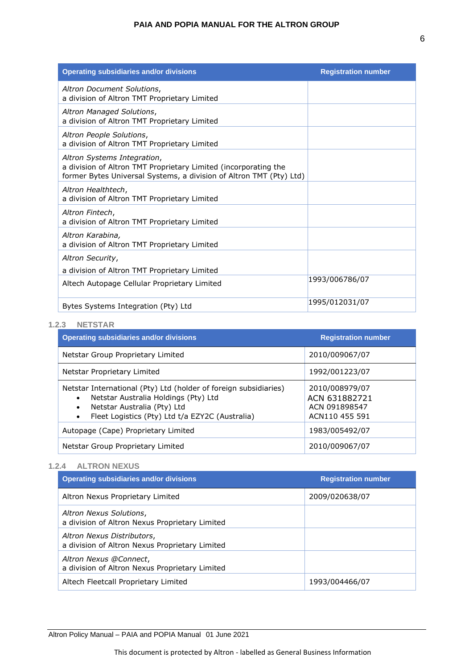| <b>Operating subsidiaries and/or divisions</b>                                                                                                                        | <b>Registration number</b> |
|-----------------------------------------------------------------------------------------------------------------------------------------------------------------------|----------------------------|
| Altron Document Solutions,<br>a division of Altron TMT Proprietary Limited                                                                                            |                            |
| Altron Managed Solutions,<br>a division of Altron TMT Proprietary Limited                                                                                             |                            |
| Altron People Solutions,<br>a division of Altron TMT Proprietary Limited                                                                                              |                            |
| Altron Systems Integration,<br>a division of Altron TMT Proprietary Limited (incorporating the<br>former Bytes Universal Systems, a division of Altron TMT (Pty) Ltd) |                            |
| Altron Healthtech,<br>a division of Altron TMT Proprietary Limited                                                                                                    |                            |
| Altron Fintech,<br>a division of Altron TMT Proprietary Limited                                                                                                       |                            |
| Altron Karabina,<br>a division of Altron TMT Proprietary Limited                                                                                                      |                            |
| Altron Security,                                                                                                                                                      |                            |
| a division of Altron TMT Proprietary Limited                                                                                                                          |                            |
| Altech Autopage Cellular Proprietary Limited                                                                                                                          | 1993/006786/07             |
| Bytes Systems Integration (Pty) Ltd                                                                                                                                   | 1995/012031/07             |

#### <span id="page-5-0"></span>**1.2.3 NETSTAR**

| <b>Operating subsidiaries and/or divisions</b>                                                                                                                                                                            | <b>Registration number</b>                                         |
|---------------------------------------------------------------------------------------------------------------------------------------------------------------------------------------------------------------------------|--------------------------------------------------------------------|
| Netstar Group Proprietary Limited                                                                                                                                                                                         | 2010/009067/07                                                     |
| Netstar Proprietary Limited                                                                                                                                                                                               | 1992/001223/07                                                     |
| Netstar International (Pty) Ltd (holder of foreign subsidiaries)<br>Netstar Australia Holdings (Pty) Ltd<br>$\bullet$<br>Netstar Australia (Pty) Ltd<br>٠<br>Fleet Logistics (Pty) Ltd t/a EZY2C (Australia)<br>$\bullet$ | 2010/008979/07<br>ACN 631882721<br>ACN 091898547<br>ACN110 455 591 |
| Autopage (Cape) Proprietary Limited                                                                                                                                                                                       | 1983/005492/07                                                     |
| Netstar Group Proprietary Limited                                                                                                                                                                                         | 2010/009067/07                                                     |

#### <span id="page-5-1"></span>**1.2.4 ALTRON NEXUS**

| Operating subsidiaries and/or divisions                                      | <b>Registration number</b> |
|------------------------------------------------------------------------------|----------------------------|
| Altron Nexus Proprietary Limited                                             | 2009/020638/07             |
| Altron Nexus Solutions,<br>a division of Altron Nexus Proprietary Limited    |                            |
| Altron Nexus Distributors,<br>a division of Altron Nexus Proprietary Limited |                            |
| Altron Nexus @Connect,<br>a division of Altron Nexus Proprietary Limited     |                            |
| Altech Fleetcall Proprietary Limited                                         | 1993/004466/07             |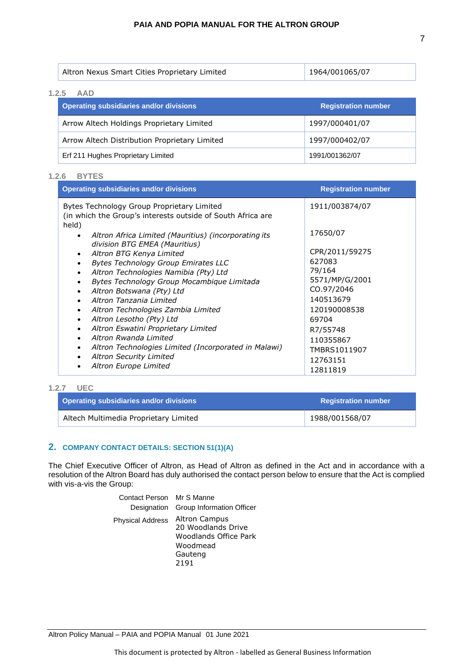| Altron Nexus Smart Cities Proprietary Limited | 1964/001065/07 |
|-----------------------------------------------|----------------|
|-----------------------------------------------|----------------|

# <span id="page-6-0"></span>**1.2.5 AAD**

| <b>Operating subsidiaries and/or divisions</b> | <b>Registration number</b> |
|------------------------------------------------|----------------------------|
| Arrow Altech Holdings Proprietary Limited      | 1997/000401/07             |
| Arrow Altech Distribution Proprietary Limited  | 1997/000402/07             |
| Erf 211 Hughes Proprietary Limited             | 1991/001362/07             |

#### <span id="page-6-1"></span>**1.2.6 BYTES**

| <b>Operating subsidiaries and/or divisions</b>                                                                     | <b>Registration number</b>   |
|--------------------------------------------------------------------------------------------------------------------|------------------------------|
| Bytes Technology Group Proprietary Limited<br>(in which the Group's interests outside of South Africa are<br>held) | 1911/003874/07               |
| Altron Africa Limited (Mauritius) (incorporating its<br>division BTG EMEA (Mauritius)                              | 17650/07                     |
| Altron BTG Kenya Limited<br>$\bullet$                                                                              | CPR/2011/59275<br>627083     |
| <b>Bytes Technology Group Emirates LLC</b><br>Altron Technologies Namibia (Pty) Ltd<br>$\bullet$                   | 79/164                       |
| Bytes Technology Group Mocambique Limitada<br>Altron Botswana (Pty) Ltd<br>$\bullet$                               | 5571/MP/G/2001<br>CO.97/2046 |
| Altron Tanzania Limited                                                                                            | 140513679                    |
| Altron Technologies Zambia Limited<br>Altron Lesotho (Pty) Ltd                                                     | 120190008538<br>69704        |
| Altron Eswatini Proprietary Limited<br>Altron Rwanda Limited                                                       | R7/55748                     |
| Altron Technologies Limited (Incorporated in Malawi)                                                               | 110355867<br>TMBRS1011907    |
| <b>Altron Security Limited</b><br>Altron Europe Limited                                                            | 12763151                     |
|                                                                                                                    | 12811819                     |

#### <span id="page-6-2"></span>**1.2.7 UEC**

| Operating subsidiaries and/or divisions | <b>Registration number</b> |
|-----------------------------------------|----------------------------|
| Altech Multimedia Proprietary Limited   | 1988/001568/07             |

# <span id="page-6-3"></span>**2. COMPANY CONTACT DETAILS: SECTION 51(1)(A)**

The Chief Executive Officer of Altron, as Head of Altron as defined in the Act and in accordance with a resolution of the Altron Board has duly authorised the contact person below to ensure that the Act is complied with vis-a-vis the Group:

> Contact Person Mr S Manne Designation Group Information Officer Physical Address Altron Campus 20 Woodlands Drive Woodlands Office Park Woodmead Gauteng 2191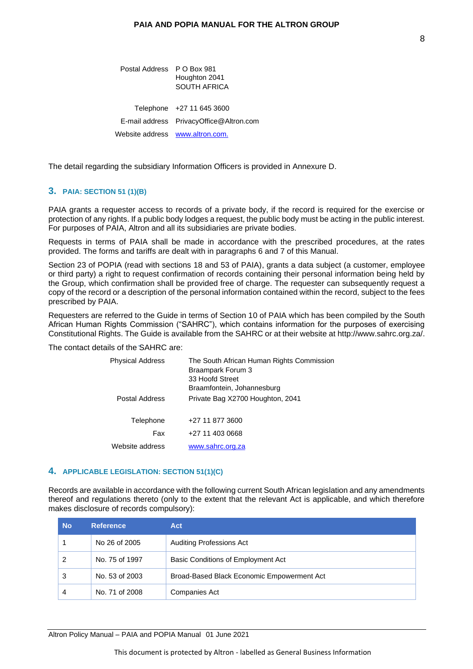Postal Address P O Box 981 Houghton 2041 SOUTH AFRICA Telephone +27 11 645 3600 E-mail address [PrivacyOffice@Altron.com](mailto:PrivacyOffice@Altron.com) Website address [www.altron.com.](http://www.altron.com/)

The detail regarding the subsidiary Information Officers is provided in Annexure D.

#### <span id="page-7-0"></span>**3. PAIA: SECTION 51 (1)(B)**

PAIA grants a requester access to records of a private body, if the record is required for the exercise or protection of any rights. If a public body lodges a request, the public body must be acting in the public interest. For purposes of PAIA, Altron and all its subsidiaries are private bodies.

Requests in terms of PAIA shall be made in accordance with the prescribed procedures, at the rates provided. The forms and tariffs are dealt with in paragraphs 6 and 7 of this Manual.

Section 23 of POPIA (read with sections 18 and 53 of PAIA), grants a data subject (a customer, employee or third party) a right to request confirmation of records containing their personal information being held by the Group, which confirmation shall be provided free of charge. The requester can subsequently request a copy of the record or a description of the personal information contained within the record, subject to the fees prescribed by PAIA.

Requesters are referred to the Guide in terms of Section 10 of PAIA which has been compiled by the South African Human Rights Commission ("SAHRC"), which contains information for the purposes of exercising Constitutional Rights. The Guide is available from the SAHRC or at their website at [http://www.sahrc.org.za/.](http://www.sahrc.org.za/)

The contact details of the SAHRC are:

| <b>Physical Address</b> | The South African Human Rights Commission<br>Braampark Forum 3 |
|-------------------------|----------------------------------------------------------------|
|                         | 33 Hoofd Street                                                |
|                         | Braamfontein, Johannesburg                                     |
| Postal Address          | Private Bag X2700 Houghton, 2041                               |
| Telephone               | +27 11 877 3600                                                |
| Fax                     | +27 11 403 0668                                                |
| Website address         | www.sahrc.org.za                                               |

#### <span id="page-7-1"></span>**4. APPLICABLE LEGISLATION: SECTION 51(1)(C)**

Records are available in accordance with the following current South African legislation and any amendments thereof and regulations thereto (only to the extent that the relevant Act is applicable, and which therefore makes disclosure of records compulsory):

| <b>No</b> | <b>Reference</b> | Act                                        |
|-----------|------------------|--------------------------------------------|
|           | No 26 of 2005    | <b>Auditing Professions Act</b>            |
| 2         | No. 75 of 1997   | Basic Conditions of Employment Act         |
| 3         | No. 53 of 2003   | Broad-Based Black Economic Empowerment Act |
|           | No. 71 of 2008   | Companies Act                              |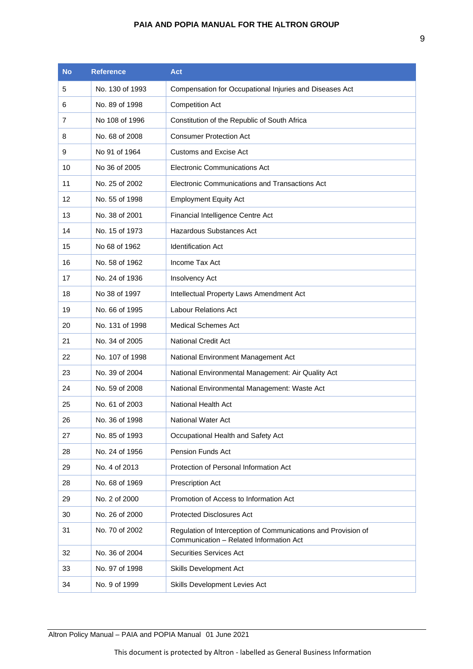| No | <b>Reference</b> | <b>Act</b>                                                                                               |
|----|------------------|----------------------------------------------------------------------------------------------------------|
| 5  | No. 130 of 1993  | Compensation for Occupational Injuries and Diseases Act                                                  |
| 6  | No. 89 of 1998   | <b>Competition Act</b>                                                                                   |
| 7  | No 108 of 1996   | Constitution of the Republic of South Africa                                                             |
| 8  | No. 68 of 2008   | <b>Consumer Protection Act</b>                                                                           |
| 9  | No 91 of 1964    | <b>Customs and Excise Act</b>                                                                            |
| 10 | No 36 of 2005    | Electronic Communications Act                                                                            |
| 11 | No. 25 of 2002   | Electronic Communications and Transactions Act                                                           |
| 12 | No. 55 of 1998   | <b>Employment Equity Act</b>                                                                             |
| 13 | No. 38 of 2001   | Financial Intelligence Centre Act                                                                        |
| 14 | No. 15 of 1973   | Hazardous Substances Act                                                                                 |
| 15 | No 68 of 1962    | <b>Identification Act</b>                                                                                |
| 16 | No. 58 of 1962   | Income Tax Act                                                                                           |
| 17 | No. 24 of 1936   | Insolvency Act                                                                                           |
| 18 | No 38 of 1997    | Intellectual Property Laws Amendment Act                                                                 |
| 19 | No. 66 of 1995   | <b>Labour Relations Act</b>                                                                              |
| 20 | No. 131 of 1998  | <b>Medical Schemes Act</b>                                                                               |
| 21 | No. 34 of 2005   | <b>National Credit Act</b>                                                                               |
| 22 | No. 107 of 1998  | National Environment Management Act                                                                      |
| 23 | No. 39 of 2004   | National Environmental Management: Air Quality Act                                                       |
| 24 | No. 59 of 2008   | National Environmental Management: Waste Act                                                             |
| 25 | No. 61 of 2003   | National Health Act                                                                                      |
| 26 | No. 36 of 1998   | <b>National Water Act</b>                                                                                |
| 27 | No. 85 of 1993   | Occupational Health and Safety Act                                                                       |
| 28 | No. 24 of 1956   | Pension Funds Act                                                                                        |
| 29 | No. 4 of 2013    | Protection of Personal Information Act                                                                   |
| 28 | No. 68 of 1969   | Prescription Act                                                                                         |
| 29 | No. 2 of 2000    | Promotion of Access to Information Act                                                                   |
| 30 | No. 26 of 2000   | <b>Protected Disclosures Act</b>                                                                         |
| 31 | No. 70 of 2002   | Regulation of Interception of Communications and Provision of<br>Communication - Related Information Act |
| 32 | No. 36 of 2004   | Securities Services Act                                                                                  |
| 33 | No. 97 of 1998   | <b>Skills Development Act</b>                                                                            |
| 34 | No. 9 of 1999    | Skills Development Levies Act                                                                            |

This document is protected by Altron - labelled as General Business Information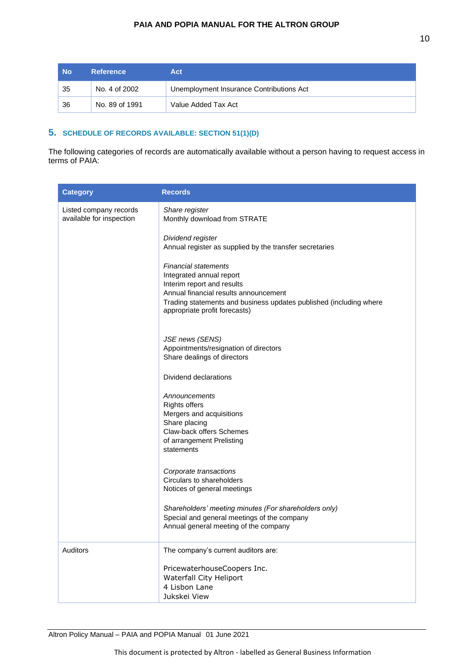| <b>No</b> | <b>Reference</b> | Act                                      |
|-----------|------------------|------------------------------------------|
| 35        | No. 4 of 2002    | Unemployment Insurance Contributions Act |
| -36       | No. 89 of 1991   | Value Added Tax Act                      |

# <span id="page-9-0"></span>**5. SCHEDULE OF RECORDS AVAILABLE: SECTION 51(1)(D)**

The following categories of records are automatically available without a person having to request access in terms of PAIA:

| <b>Category</b>                                    | <b>Records</b>                                                                                                                                                                                                                        |
|----------------------------------------------------|---------------------------------------------------------------------------------------------------------------------------------------------------------------------------------------------------------------------------------------|
| Listed company records<br>available for inspection | Share register<br>Monthly download from STRATE                                                                                                                                                                                        |
|                                                    | Dividend register<br>Annual register as supplied by the transfer secretaries                                                                                                                                                          |
|                                                    | <b>Financial statements</b><br>Integrated annual report<br>Interim report and results<br>Annual financial results announcement<br>Trading statements and business updates published (including where<br>appropriate profit forecasts) |
|                                                    | JSE news (SENS)<br>Appointments/resignation of directors<br>Share dealings of directors                                                                                                                                               |
|                                                    | Dividend declarations                                                                                                                                                                                                                 |
|                                                    | Announcements<br><b>Rights offers</b><br>Mergers and acquisitions<br>Share placing<br>Claw-back offers Schemes<br>of arrangement Prelisting<br>statements                                                                             |
|                                                    | Corporate transactions<br>Circulars to shareholders<br>Notices of general meetings                                                                                                                                                    |
|                                                    | Shareholders' meeting minutes (For shareholders only)<br>Special and general meetings of the company<br>Annual general meeting of the company                                                                                         |
| <b>Auditors</b>                                    | The company's current auditors are:                                                                                                                                                                                                   |
|                                                    | PricewaterhouseCoopers Inc.<br>Waterfall City Heliport<br>4 Lisbon Lane<br>Jukskei View                                                                                                                                               |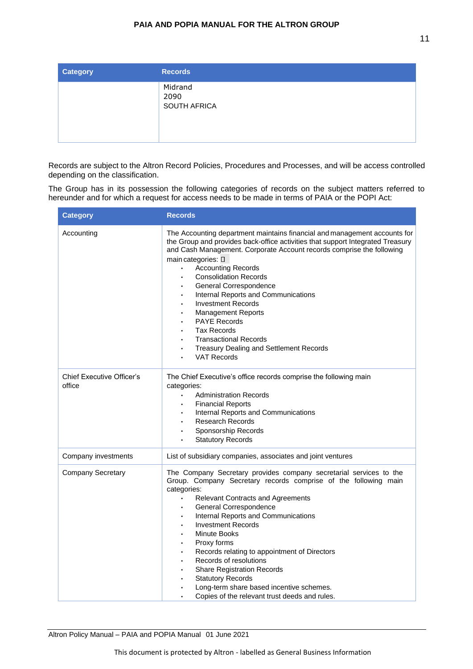| <b>Category</b> | <b>Records</b>                         |  |
|-----------------|----------------------------------------|--|
|                 | Midrand<br>2090<br><b>SOUTH AFRICA</b> |  |

Records are subject to the Altron Record Policies, Procedures and Processes, and will be access controlled depending on the classification.

The Group has in its possession the following categories of records on the subject matters referred to hereunder and for which a request for access needs to be made in terms of PAIA or the POPI Act:

| <b>Category</b>                            | <b>Records</b>                                                                                                                                                                                                                                                                                                                                                                                                                                                                                                                                                                                                                     |
|--------------------------------------------|------------------------------------------------------------------------------------------------------------------------------------------------------------------------------------------------------------------------------------------------------------------------------------------------------------------------------------------------------------------------------------------------------------------------------------------------------------------------------------------------------------------------------------------------------------------------------------------------------------------------------------|
| Accounting                                 | The Accounting department maintains financial and management accounts for<br>the Group and provides back-office activities that support Integrated Treasury<br>and Cash Management. Corporate Account records comprise the following<br>main categories: $\square$<br><b>Accounting Records</b><br><b>Consolidation Records</b><br>General Correspondence<br>Internal Reports and Communications<br><b>Investment Records</b><br><b>Management Reports</b><br>$\bullet$<br><b>PAYE Records</b><br><b>Tax Records</b><br><b>Transactional Records</b><br>Treasury Dealing and Settlement Records<br>$\bullet$<br><b>VAT Records</b> |
| <b>Chief Executive Officer's</b><br>office | The Chief Executive's office records comprise the following main<br>categories:<br><b>Administration Records</b><br>$\bullet$<br><b>Financial Reports</b><br>Internal Reports and Communications<br><b>Research Records</b><br>Sponsorship Records<br><b>Statutory Records</b><br>$\bullet$                                                                                                                                                                                                                                                                                                                                        |
| Company investments                        | List of subsidiary companies, associates and joint ventures                                                                                                                                                                                                                                                                                                                                                                                                                                                                                                                                                                        |
| <b>Company Secretary</b>                   | The Company Secretary provides company secretarial services to the<br>Group. Company Secretary records comprise of the following main<br>categories:<br><b>Relevant Contracts and Agreements</b><br>General Correspondence<br>$\bullet$<br>Internal Reports and Communications<br>$\bullet$<br><b>Investment Records</b><br>Minute Books<br>Proxy forms<br>$\bullet$<br>Records relating to appointment of Directors<br>Records of resolutions<br><b>Share Registration Records</b><br>$\bullet$<br><b>Statutory Records</b><br>Long-term share based incentive schemes.<br>Copies of the relevant trust deeds and rules.          |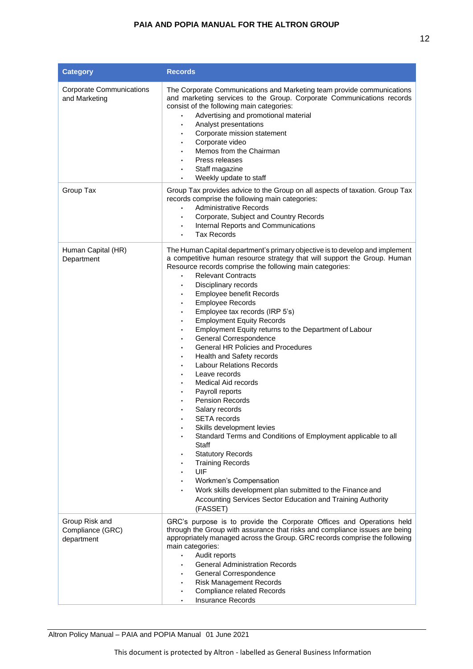| <b>Category</b>                                  | <b>Records</b>                                                                                                                                                                                                                                                                                                                                                                                                                                                                                                                                                                                                                                                                                                                                                                                                                                                                                                                                                                                                                                                                                            |
|--------------------------------------------------|-----------------------------------------------------------------------------------------------------------------------------------------------------------------------------------------------------------------------------------------------------------------------------------------------------------------------------------------------------------------------------------------------------------------------------------------------------------------------------------------------------------------------------------------------------------------------------------------------------------------------------------------------------------------------------------------------------------------------------------------------------------------------------------------------------------------------------------------------------------------------------------------------------------------------------------------------------------------------------------------------------------------------------------------------------------------------------------------------------------|
| <b>Corporate Communications</b><br>and Marketing | The Corporate Communications and Marketing team provide communications<br>and marketing services to the Group. Corporate Communications records<br>consist of the following main categories:<br>Advertising and promotional material<br>Analyst presentations<br>Corporate mission statement<br>Corporate video<br>Memos from the Chairman<br>Press releases<br>Staff magazine<br>Weekly update to staff<br>$\bullet$                                                                                                                                                                                                                                                                                                                                                                                                                                                                                                                                                                                                                                                                                     |
| Group Tax                                        | Group Tax provides advice to the Group on all aspects of taxation. Group Tax<br>records comprise the following main categories:<br><b>Administrative Records</b><br>$\bullet$<br>Corporate, Subject and Country Records<br>٠<br>Internal Reports and Communications<br>$\bullet$<br><b>Tax Records</b><br>$\bullet$                                                                                                                                                                                                                                                                                                                                                                                                                                                                                                                                                                                                                                                                                                                                                                                       |
| Human Capital (HR)<br>Department                 | The Human Capital department's primary objective is to develop and implement<br>a competitive human resource strategy that will support the Group. Human<br>Resource records comprise the following main categories:<br><b>Relevant Contracts</b><br>Disciplinary records<br>Employee benefit Records<br><b>Employee Records</b><br>$\bullet$<br>Employee tax records (IRP 5's)<br>٠<br><b>Employment Equity Records</b><br>٠<br>Employment Equity returns to the Department of Labour<br>General Correspondence<br>General HR Policies and Procedures<br>Health and Safety records<br><b>Labour Relations Records</b><br>Leave records<br><b>Medical Aid records</b><br>Payroll reports<br><b>Pension Records</b><br>Salary records<br><b>SETA</b> records<br>Skills development levies<br>Standard Terms and Conditions of Employment applicable to all<br>Staff<br><b>Statutory Records</b><br><b>Training Records</b><br>UIF<br><b>Workmen's Compensation</b><br>Work skills development plan submitted to the Finance and<br>Accounting Services Sector Education and Training Authority<br>(FASSET) |
| Group Risk and<br>Compliance (GRC)<br>department | GRC's purpose is to provide the Corporate Offices and Operations held<br>through the Group with assurance that risks and compliance issues are being<br>appropriately managed across the Group. GRC records comprise the following<br>main categories:<br>Audit reports<br>$\bullet$<br><b>General Administration Records</b><br>General Correspondence<br>$\bullet$<br><b>Risk Management Records</b><br><b>Compliance related Records</b><br><b>Insurance Records</b>                                                                                                                                                                                                                                                                                                                                                                                                                                                                                                                                                                                                                                   |

This document is protected by Altron - labelled as General Business Information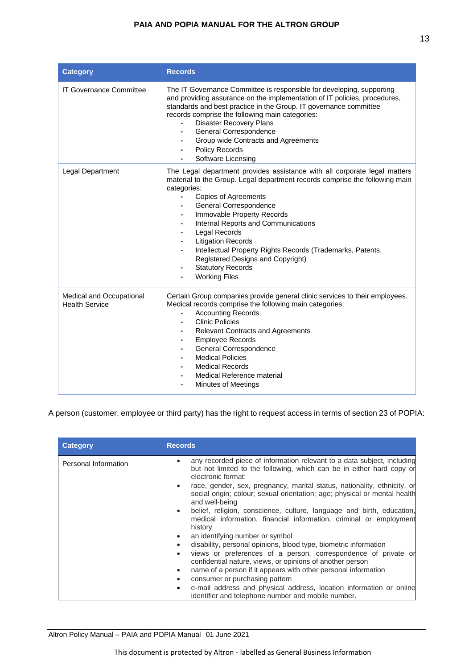| <b>Category</b>                                   | <b>Records</b>                                                                                                                                                                                                                                                                                                                                                                                                                                                                                                                       |
|---------------------------------------------------|--------------------------------------------------------------------------------------------------------------------------------------------------------------------------------------------------------------------------------------------------------------------------------------------------------------------------------------------------------------------------------------------------------------------------------------------------------------------------------------------------------------------------------------|
| <b>IT Governance Committee</b>                    | The IT Governance Committee is responsible for developing, supporting<br>and providing assurance on the implementation of IT policies, procedures,<br>standards and best practice in the Group. IT governance committee<br>records comprise the following main categories:<br><b>Disaster Recovery Plans</b><br>General Correspondence<br>Group wide Contracts and Agreements<br>Policy Records<br>Software Licensing                                                                                                                |
| Legal Department                                  | The Legal department provides assistance with all corporate legal matters<br>material to the Group. Legal department records comprise the following main<br>categories:<br><b>Copies of Agreements</b><br>$\bullet$<br>General Correspondence<br>Immovable Property Records<br>Internal Reports and Communications<br>Legal Records<br><b>Litigation Records</b><br>Intellectual Property Rights Records (Trademarks, Patents,<br>Registered Designs and Copyright)<br><b>Statutory Records</b><br>$\bullet$<br><b>Working Files</b> |
| Medical and Occupational<br><b>Health Service</b> | Certain Group companies provide general clinic services to their employees.<br>Medical records comprise the following main categories:<br><b>Accounting Records</b><br><b>Clinic Policies</b><br><b>Relevant Contracts and Agreements</b><br><b>Employee Records</b><br>General Correspondence<br><b>Medical Policies</b><br><b>Medical Records</b><br>Medical Reference material<br><b>Minutes of Meetings</b>                                                                                                                      |

A person (customer, employee or third party) has the right to request access in terms of section 23 of POPIA:

| <b>Category</b>      | <b>Records</b>                                                                                                                                                                                                                                                                                                                                                                                                                                                                                                                                                                                                                                                                                                                                                                                                                                                                                                                                                                                  |
|----------------------|-------------------------------------------------------------------------------------------------------------------------------------------------------------------------------------------------------------------------------------------------------------------------------------------------------------------------------------------------------------------------------------------------------------------------------------------------------------------------------------------------------------------------------------------------------------------------------------------------------------------------------------------------------------------------------------------------------------------------------------------------------------------------------------------------------------------------------------------------------------------------------------------------------------------------------------------------------------------------------------------------|
| Personal Information | any recorded piece of information relevant to a data subject, including<br>but not limited to the following, which can be in either hard copy or<br>electronic format:<br>race, gender, sex, pregnancy, marital status, nationality, ethnicity, or<br>social origin; colour; sexual orientation; age; physical or mental health<br>and well-being<br>belief, religion, conscience, culture, language and birth, education,<br>medical information, financial information, criminal or employment<br>history<br>an identifying number or symbol<br>disability, personal opinions, blood type, biometric information<br>views or preferences of a person, correspondence of private or<br>confidential nature, views, or opinions of another person<br>name of a person if it appears with other personal information<br>$\bullet$<br>consumer or purchasing pattern<br>e-mail address and physical address, location information or online<br>identifier and telephone number and mobile number. |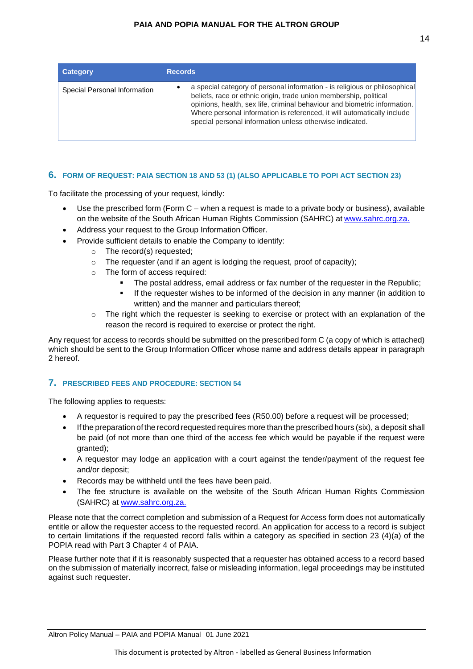| <b>Category</b>              | <b>Records</b>                                                                                                                                                                                                                                                                                                                                                      |
|------------------------------|---------------------------------------------------------------------------------------------------------------------------------------------------------------------------------------------------------------------------------------------------------------------------------------------------------------------------------------------------------------------|
| Special Personal Information | a special category of personal information - is religious or philosophical<br>beliefs, race or ethnic origin, trade union membership, political<br>opinions, health, sex life, criminal behaviour and biometric information.<br>Where personal information is referenced, it will automatically include<br>special personal information unless otherwise indicated. |

# <span id="page-13-0"></span>**6. FORM OF REQUEST: PAIA SECTION 18 AND 53 (1) (ALSO APPLICABLE TO POPI ACT SECTION 23)**

To facilitate the processing of your request, kindly:

- Use the prescribed form (Form C when a request is made to a private body or business), available on the website of the South African Human Rights Commission (SAHRC) at [www.sahrc.org.za.](http://www.sahrc.org.za/)
- Address your request to the Group Information Officer.
- Provide sufficient details to enable the Company to identify:
	- o The record(s) requested;
	- o The requester (and if an agent is lodging the request, proof of capacity);
	- o The form of access required:
		- The postal address, email address or fax number of the requester in the Republic;
		- **.** If the requester wishes to be informed of the decision in any manner (in addition to written) and the manner and particulars thereof;
	- $\circ$  The right which the requester is seeking to exercise or protect with an explanation of the reason the record is required to exercise or protect the right.

Any request for access to records should be submitted on the prescribed form C (a copy of which is attached) which should be sent to the Group Information Officer whose name and address details appear in paragraph 2 hereof.

# <span id="page-13-1"></span>**7. PRESCRIBED FEES AND PROCEDURE: SECTION 54**

The following applies to requests:

- A requestor is required to pay the prescribed fees (R50.00) before a request will be processed;
- If the preparation of the record requested requires more than the prescribed hours (six), a deposit shall be paid (of not more than one third of the access fee which would be payable if the request were granted);
- A requestor may lodge an application with a court against the tender/payment of the request fee and/or deposit;
- Records may be withheld until the fees have been paid.
- The fee structure is available on the website of the South African Human Rights Commission (SAHRC) at [www.sahrc.org.za.](http://www.sahrc.org.za/)

Please note that the correct completion and submission of a Request for Access form does not automatically entitle or allow the requester access to the requested record. An application for access to a record is subject to certain limitations if the requested record falls within a category as specified in section 23 (4)(a) of the POPIA read with Part 3 Chapter 4 of PAIA.

Please further note that if it is reasonably suspected that a requester has obtained access to a record based on the submission of materially incorrect, false or misleading information, legal proceedings may be instituted against such requester.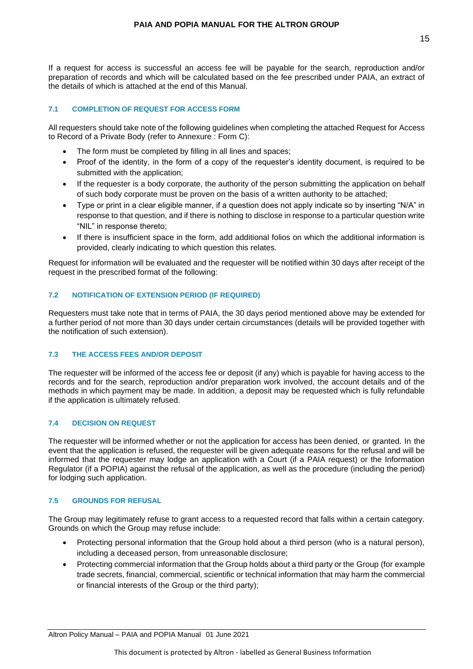If a request for access is successful an access fee will be payable for the search, reproduction and/or preparation of records and which will be calculated based on the fee prescribed under PAIA, an extract of the details of which is attached at the end of this Manual.

#### <span id="page-14-0"></span>**7.1 COMPLETION OF REQUEST FOR ACCESS FORM**

All requesters should take note of the following guidelines when completing the attached Request for Access to Record of a Private Body (refer to Annexure : Form C):

- The form must be completed by filling in all lines and spaces;
- Proof of the identity, in the form of a copy of the requester's identity document, is required to be submitted with the application;
- If the requester is a body corporate, the authority of the person submitting the application on behalf of such body corporate must be proven on the basis of a written authority to be attached;
- Type or print in a clear eligible manner, if a question does not apply indicate so by inserting "N/A" in response to that question, and if there is nothing to disclose in response to a particular question write "NIL" in response thereto;
- If there is insufficient space in the form, add additional folios on which the additional information is provided, clearly indicating to which question this relates.

Request for information will be evaluated and the requester will be notified within 30 days after receipt of the request in the prescribed format of the following:

#### <span id="page-14-1"></span>**7.2 NOTIFICATION OF EXTENSION PERIOD (IF REQUIRED)**

Requesters must take note that in terms of PAIA, the 30 days period mentioned above may be extended for a further period of not more than 30 days under certain circumstances (details will be provided together with the notification of such extension).

#### <span id="page-14-2"></span>**7.3 THE ACCESS FEES AND/OR DEPOSIT**

The requester will be informed of the access fee or deposit (if any) which is payable for having access to the records and for the search, reproduction and/or preparation work involved, the account details and of the methods in which payment may be made. In addition, a deposit may be requested which is fully refundable if the application is ultimately refused.

### <span id="page-14-3"></span>**7.4 DECISION ON REQUEST**

The requester will be informed whether or not the application for access has been denied, or granted. In the event that the application is refused, the requester will be given adequate reasons for the refusal and will be informed that the requester may lodge an application with a Court (if a PAIA request) or the Information Regulator (if a POPIA) against the refusal of the application, as well as the procedure (including the period) for lodging such application.

#### <span id="page-14-4"></span>**7.5 GROUNDS FOR REFUSAL**

The Group may legitimately refuse to grant access to a requested record that falls within a certain category. Grounds on which the Group may refuse include:

- Protecting personal information that the Group hold about a third person (who is a natural person), including a deceased person, from unreasonable disclosure;
- Protecting commercial information that the Group holds about a third party or the Group (for example trade secrets, financial, commercial, scientific or technical information that may harm the commercial or financial interests of the Group or the third party);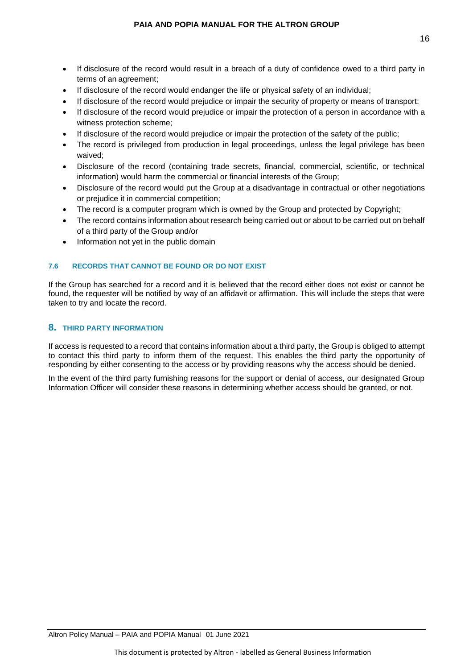- If disclosure of the record would result in a breach of a duty of confidence owed to a third party in terms of an agreement;
- If disclosure of the record would endanger the life or physical safety of an individual;
- If disclosure of the record would prejudice or impair the security of property or means of transport;
- If disclosure of the record would prejudice or impair the protection of a person in accordance with a witness protection scheme;
- If disclosure of the record would prejudice or impair the protection of the safety of the public;
- The record is privileged from production in legal proceedings, unless the legal privilege has been waived;
- Disclosure of the record (containing trade secrets, financial, commercial, scientific, or technical information) would harm the commercial or financial interests of the Group;
- Disclosure of the record would put the Group at a disadvantage in contractual or other negotiations or prejudice it in commercial competition;
- The record is a computer program which is owned by the Group and protected by Copyright;
- The record contains information about research being carried out or about to be carried out on behalf of a third party of the Group and/or
- Information not yet in the public domain

### <span id="page-15-0"></span>**7.6 RECORDS THAT CANNOT BE FOUND OR DO NOT EXIST**

If the Group has searched for a record and it is believed that the record either does not exist or cannot be found, the requester will be notified by way of an affidavit or affirmation. This will include the steps that were taken to try and locate the record.

### <span id="page-15-1"></span>**8. THIRD PARTY INFORMATION**

If access is requested to a record that contains information about a third party, the Group is obliged to attempt to contact this third party to inform them of the request. This enables the third party the opportunity of responding by either consenting to the access or by providing reasons why the access should be denied.

In the event of the third party furnishing reasons for the support or denial of access, our designated Group Information Officer will consider these reasons in determining whether access should be granted, or not.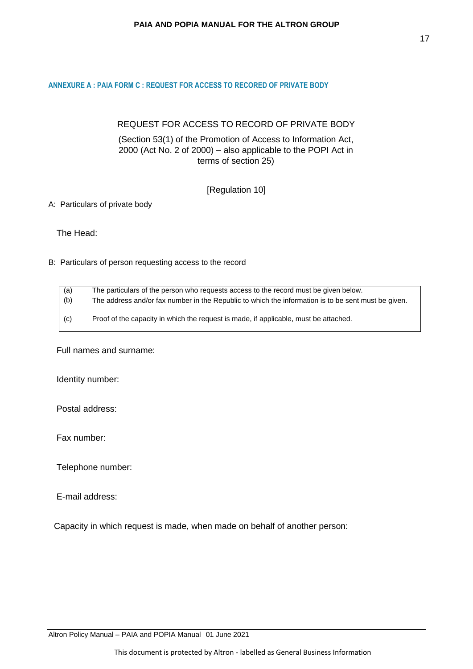#### <span id="page-16-0"></span>**ANNEXURE A : PAIA FORM C : REQUEST FOR ACCESS TO RECORED OF PRIVATE BODY**

# REQUEST FOR ACCESS TO RECORD OF PRIVATE BODY

(Section 53(1) of the Promotion of Access to Information Act, 2000 (Act No. 2 of 2000) – also applicable to the POPI Act in terms of section 25)

# [Regulation 10]

### A: Particulars of private body

The Head:

# B: Particulars of person requesting access to the record

| (a) | The particulars of the person who requests access to the record must be given below.                |
|-----|-----------------------------------------------------------------------------------------------------|
| (b) | The address and/or fax number in the Republic to which the information is to be sent must be given. |
| (c) | Proof of the capacity in which the request is made, if applicable, must be attached.                |

Full names and surname:

Identity number:

Postal address:

Fax number:

Telephone number:

E-mail address:

Capacity in which request is made, when made on behalf of another person: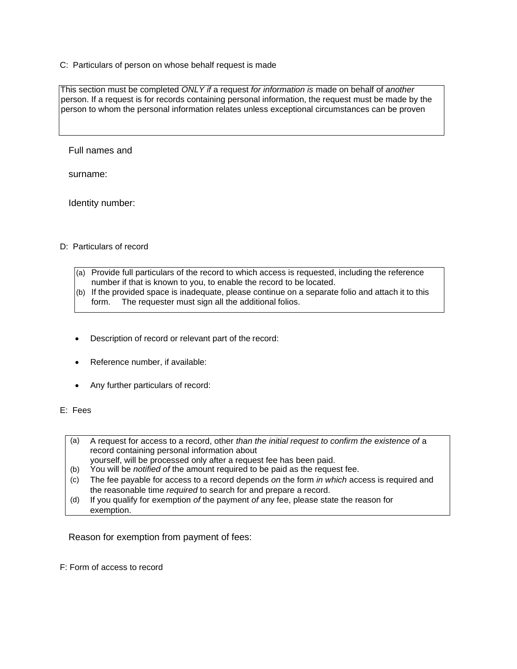C: Particulars of person on whose behalf request is made

This section must be completed *ONLY if* a request *for information is* made on behalf of *another* person. If a request is for records containing personal information, the request must be made by the person to whom the personal information relates unless exceptional circumstances can be proven

Full names and

surname:

Identity number:

#### D: Particulars of record

- (a) Provide full particulars of the record to which access is requested, including the reference number if that is known to you, to enable the record to be located.
- (b) If the provided space is inadequate, please continue on a separate folio and attach it to this form. The requester must sign all the additional folios.
- Description of record or relevant part of the record:
- Reference number, if available:
- Any further particulars of record:
- E: Fees
	- (a) A request for access to a record, other *than the initial request to confirm the existence of* a record containing personal information about
	- yourself, will be processed only after a request fee has been paid.
	- (b) You will be *notified of* the amount required to be paid as the request fee.
	- (c) The fee payable for access to a record depends *on* the form *in which* access is required and the reasonable time *required* to search for and prepare a record.
	- (d) If you qualify for exemption *of* the payment *of* any fee, please state the reason for exemption.

Reason for exemption from payment of fees:

F: Form of access to record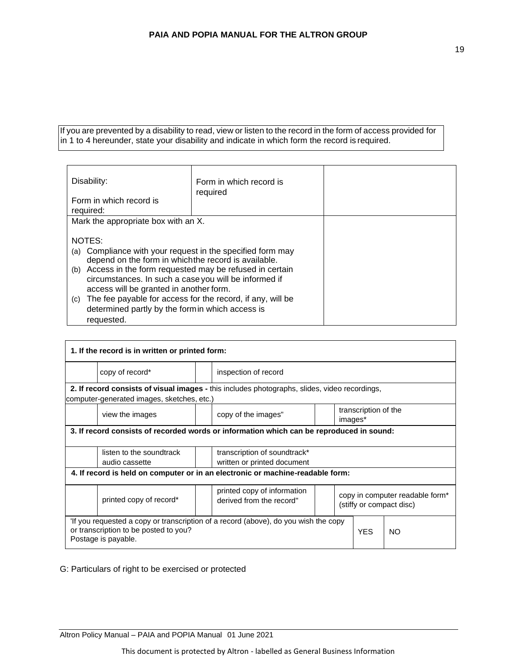If you are prevented by a disability to read, view or listen to the record in the form of access provided for in 1 to 4 hereunder, state your disability and indicate in which form the record is required.

| Disability:<br>Form in which record is<br>required:            | Form in which record is<br>required |  |
|----------------------------------------------------------------|-------------------------------------|--|
| Mark the appropriate box with an X.                            |                                     |  |
|                                                                |                                     |  |
| NOTES:                                                         |                                     |  |
| (a) Compliance with your request in the specified form may     |                                     |  |
| depend on the form in which the record is available.           |                                     |  |
| (b) Access in the form requested may be refused in certain     |                                     |  |
| circumstances. In such a case you will be informed if          |                                     |  |
| access will be granted in another form.                        |                                     |  |
| (c) The fee payable for access for the record, if any, will be |                                     |  |
| determined partly by the form in which access is               |                                     |  |
| requested.                                                     |                                     |  |

| 1. If the record is in written or printed form:                                                                                                                          |                                                                                               |  |                                                         |  |                                                                         |                                 |  |
|--------------------------------------------------------------------------------------------------------------------------------------------------------------------------|-----------------------------------------------------------------------------------------------|--|---------------------------------------------------------|--|-------------------------------------------------------------------------|---------------------------------|--|
|                                                                                                                                                                          | copy of record*                                                                               |  | inspection of record                                    |  |                                                                         |                                 |  |
|                                                                                                                                                                          | 2. If record consists of visual images - this includes photographs, slides, video recordings, |  |                                                         |  |                                                                         |                                 |  |
|                                                                                                                                                                          | computer-generated images, sketches, etc.)                                                    |  |                                                         |  |                                                                         |                                 |  |
|                                                                                                                                                                          | view the images                                                                               |  | copy of the images"                                     |  |                                                                         | transcription of the<br>images* |  |
|                                                                                                                                                                          | 3. If record consists of recorded words or information which can be reproduced in sound:      |  |                                                         |  |                                                                         |                                 |  |
|                                                                                                                                                                          | listen to the soundtrack<br>transcription of soundtrack*                                      |  |                                                         |  |                                                                         |                                 |  |
|                                                                                                                                                                          | written or printed document<br>audio cassette                                                 |  |                                                         |  |                                                                         |                                 |  |
| 4. If record is held on computer or in an electronic or machine-readable form:                                                                                           |                                                                                               |  |                                                         |  |                                                                         |                                 |  |
|                                                                                                                                                                          | printed copy of record*                                                                       |  | printed copy of information<br>derived from the record" |  | copy in computer readable form <sup>*</sup><br>(stiffy or compact disc) |                                 |  |
| 'If you requested a copy or transcription of a record (above), do you wish the copy<br>or transcription to be posted to you?<br><b>YES</b><br>NO.<br>Postage is payable. |                                                                                               |  |                                                         |  |                                                                         |                                 |  |

G: Particulars of right to be exercised or protected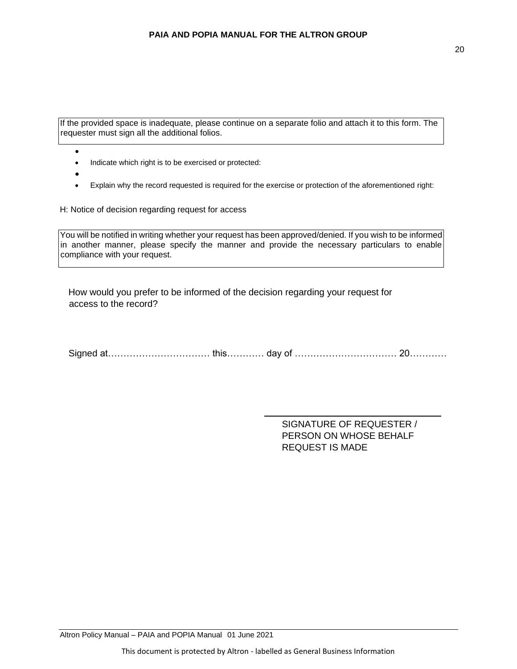If the provided space is inadequate, please continue on a separate folio and attach it to this form. The requester must sign all the additional folios.

- - Indicate which right is to be exercised or protected:
- •
- Explain why the record requested is required for the exercise or protection of the aforementioned right:

H: Notice of decision regarding request for access

You will be notified in writing whether your request has been approved/denied. If you wish to be informed in another manner, please specify the manner and provide the necessary particulars to enable compliance with your request.

How would you prefer to be informed of the decision regarding your request for access to the record?

Signed at…………………………… this………… day of …………………………… 20…………

SIGNATURE OF REQUESTER / PERSON ON WHOSE BEHALF REQUEST IS MADE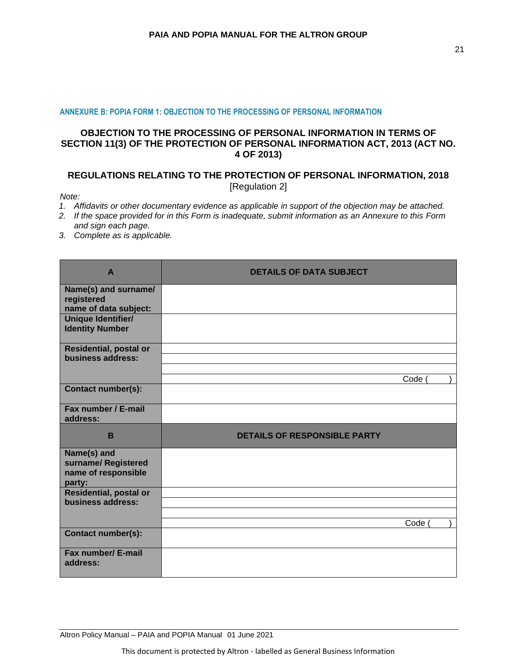#### **ANNEXURE B: POPIA FORM 1: OBJECTION TO THE PROCESSING OF PERSONAL INFORMATION**

# **OBJECTION TO THE PROCESSING OF PERSONAL INFORMATION IN TERMS OF SECTION 11(3) OF THE PROTECTION OF PERSONAL INFORMATION ACT, 2013 (ACT NO. 4 OF 2013)**

# <span id="page-20-0"></span>**REGULATIONS RELATING TO THE PROTECTION OF PERSONAL INFORMATION, 2018** [Regulation 2]

*Note:*

- *1. Affidavits or other documentary evidence as applicable in support of the objection may be attached.*
- *2. If the space provided for in this Form is inadequate, submit information as an Annexure to this Form and sign each page.*
- *3. Complete as is applicable.*

| $\mathbf{A}$                                                        | <b>DETAILS OF DATA SUBJECT</b>      |
|---------------------------------------------------------------------|-------------------------------------|
| Name(s) and surname/<br>registered<br>name of data subject:         |                                     |
| Unique Identifier/<br><b>Identity Number</b>                        |                                     |
| Residential, postal or<br>business address:                         |                                     |
|                                                                     | Code (                              |
| <b>Contact number(s):</b>                                           |                                     |
| Fax number / E-mail<br>address:                                     |                                     |
|                                                                     |                                     |
| B                                                                   | <b>DETAILS OF RESPONSIBLE PARTY</b> |
| Name(s) and<br>surname/ Registered<br>name of responsible<br>party: |                                     |
| <b>Residential, postal or</b><br>business address:                  |                                     |
|                                                                     |                                     |
| <b>Contact number(s):</b>                                           | Code                                |

Altron Policy Manual – PAIA and POPIA Manual 01 June 2021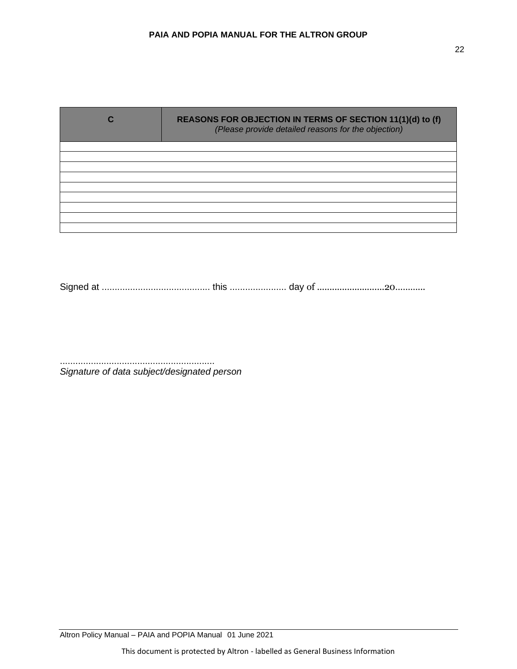| REASONS FOR OBJECTION IN TERMS OF SECTION 11(1)(d) to (f)<br>(Please provide detailed reasons for the objection) |
|------------------------------------------------------------------------------------------------------------------|
|                                                                                                                  |
|                                                                                                                  |
|                                                                                                                  |
|                                                                                                                  |
|                                                                                                                  |
|                                                                                                                  |
|                                                                                                                  |
|                                                                                                                  |
|                                                                                                                  |

Signed at .......................................... this ...................... day of ...........................20………...

............................................................ *Signature of data subject/designated person*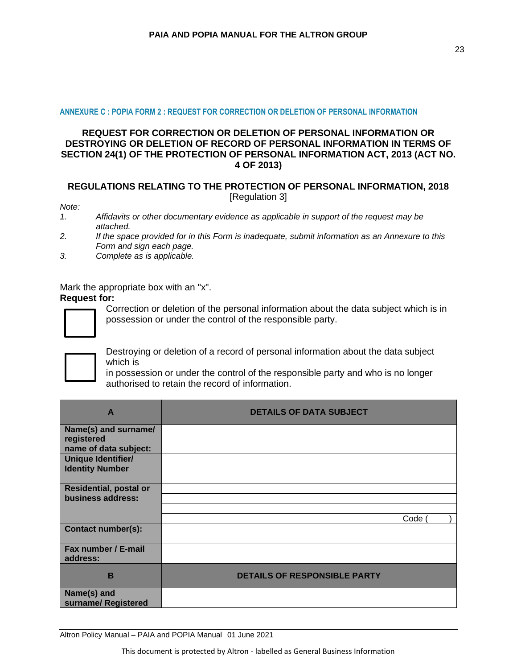#### **ANNEXURE C : POPIA FORM 2 : REQUEST FOR CORRECTION OR DELETION OF PERSONAL INFORMATION**

# <span id="page-22-0"></span>**REQUEST FOR CORRECTION OR DELETION OF PERSONAL INFORMATION OR DESTROYING OR DELETION OF RECORD OF PERSONAL INFORMATION IN TERMS OF SECTION 24(1) OF THE PROTECTION OF PERSONAL INFORMATION ACT, 2013 (ACT NO. 4 OF 2013)**

# **REGULATIONS RELATING TO THE PROTECTION OF PERSONAL INFORMATION, 2018** [Regulation 3]

*Note:*

- *1. Affidavits or other documentary evidence as applicable in support of the request may be attached.*
- *2. If the space provided for in this Form is inadequate, submit information as an Annexure to this Form and sign each page.*
- *3. Complete as is applicable.*

Mark the appropriate box with an "x".

#### **Request for:**



Correction or deletion of the personal information about the data subject which is in possession or under the control of the responsible party.



Destroying or deletion of a record of personal information about the data subject which is

in possession or under the control of the responsible party and who is no longer authorised to retain the record of information.

| $\overline{A}$                                                               | <b>DETAILS OF DATA SUBJECT</b>      |      |  |
|------------------------------------------------------------------------------|-------------------------------------|------|--|
| Name(s) and surname/<br>registered                                           |                                     |      |  |
| name of data subject:<br><b>Unique Identifier/</b><br><b>Identity Number</b> |                                     |      |  |
| <b>Residential, postal or</b><br>business address:                           |                                     |      |  |
|                                                                              |                                     | Code |  |
| <b>Contact number(s):</b>                                                    |                                     |      |  |
| Fax number / E-mail<br>address:                                              |                                     |      |  |
| B                                                                            | <b>DETAILS OF RESPONSIBLE PARTY</b> |      |  |
| Name(s) and<br>surname/ Registered                                           |                                     |      |  |

Altron Policy Manual – PAIA and POPIA Manual 01 June 2021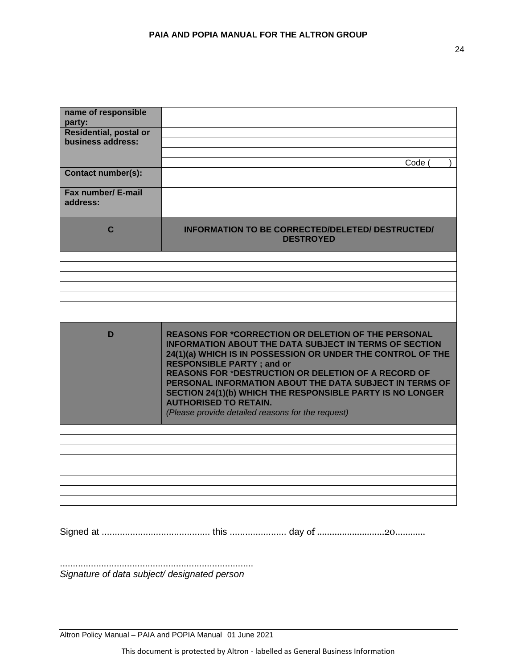| name of responsible                          |                                                                                                                                                                                                                                                                                                                                                                                                                                                                                                           |
|----------------------------------------------|-----------------------------------------------------------------------------------------------------------------------------------------------------------------------------------------------------------------------------------------------------------------------------------------------------------------------------------------------------------------------------------------------------------------------------------------------------------------------------------------------------------|
| party:                                       |                                                                                                                                                                                                                                                                                                                                                                                                                                                                                                           |
| <b>Residential, postal or</b>                |                                                                                                                                                                                                                                                                                                                                                                                                                                                                                                           |
| business address:                            |                                                                                                                                                                                                                                                                                                                                                                                                                                                                                                           |
|                                              |                                                                                                                                                                                                                                                                                                                                                                                                                                                                                                           |
|                                              | Code                                                                                                                                                                                                                                                                                                                                                                                                                                                                                                      |
| <b>Contact number(s):</b>                    |                                                                                                                                                                                                                                                                                                                                                                                                                                                                                                           |
| Fax number/ E-mail                           |                                                                                                                                                                                                                                                                                                                                                                                                                                                                                                           |
| address:                                     |                                                                                                                                                                                                                                                                                                                                                                                                                                                                                                           |
|                                              |                                                                                                                                                                                                                                                                                                                                                                                                                                                                                                           |
| C                                            | <b>INFORMATION TO BE CORRECTED/DELETED/ DESTRUCTED/</b><br><b>DESTROYED</b>                                                                                                                                                                                                                                                                                                                                                                                                                               |
|                                              |                                                                                                                                                                                                                                                                                                                                                                                                                                                                                                           |
|                                              |                                                                                                                                                                                                                                                                                                                                                                                                                                                                                                           |
|                                              |                                                                                                                                                                                                                                                                                                                                                                                                                                                                                                           |
|                                              |                                                                                                                                                                                                                                                                                                                                                                                                                                                                                                           |
|                                              |                                                                                                                                                                                                                                                                                                                                                                                                                                                                                                           |
|                                              |                                                                                                                                                                                                                                                                                                                                                                                                                                                                                                           |
|                                              |                                                                                                                                                                                                                                                                                                                                                                                                                                                                                                           |
| D                                            | <b>REASONS FOR *CORRECTION OR DELETION OF THE PERSONAL</b><br><b>INFORMATION ABOUT THE DATA SUBJECT IN TERMS OF SECTION</b><br>24(1)(a) WHICH IS IN POSSESSION OR UNDER THE CONTROL OF THE<br><b>RESPONSIBLE PARTY; and or</b><br><b>REASONS FOR *DESTRUCTION OR DELETION OF A RECORD OF</b><br>PERSONAL INFORMATION ABOUT THE DATA SUBJECT IN TERMS OF<br>SECTION 24(1)(b) WHICH THE RESPONSIBLE PARTY IS NO LONGER<br><b>AUTHORISED TO RETAIN.</b><br>(Please provide detailed reasons for the request) |
|                                              |                                                                                                                                                                                                                                                                                                                                                                                                                                                                                                           |
|                                              |                                                                                                                                                                                                                                                                                                                                                                                                                                                                                                           |
|                                              |                                                                                                                                                                                                                                                                                                                                                                                                                                                                                                           |
|                                              |                                                                                                                                                                                                                                                                                                                                                                                                                                                                                                           |
|                                              |                                                                                                                                                                                                                                                                                                                                                                                                                                                                                                           |
|                                              |                                                                                                                                                                                                                                                                                                                                                                                                                                                                                                           |
|                                              |                                                                                                                                                                                                                                                                                                                                                                                                                                                                                                           |
|                                              |                                                                                                                                                                                                                                                                                                                                                                                                                                                                                                           |
| Signature of data subject/ designated person |                                                                                                                                                                                                                                                                                                                                                                                                                                                                                                           |